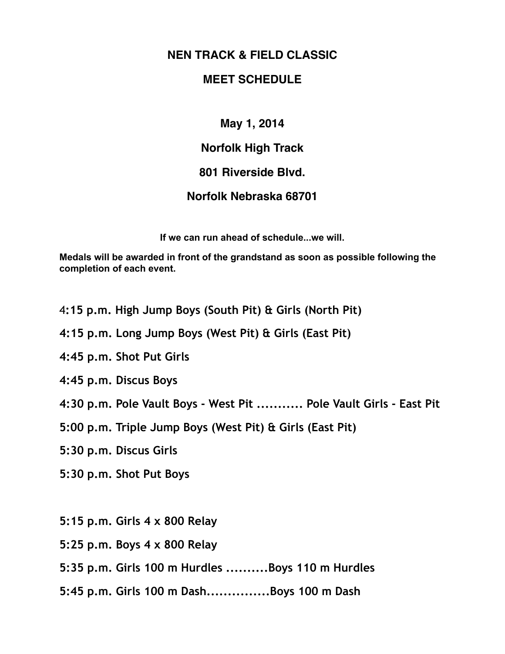## **NEN TRACK & FIELD CLASSIC**

## **MEET SCHEDULE**

**May 1, 2014**

**Norfolk High Track** 

## **801 Riverside Blvd.**

## **Norfolk Nebraska 68701**

**If we can run ahead of schedule...we will.**

**Medals will be awarded in front of the grandstand as soon as possible following the completion of each event.** 

4**:15 p.m. High Jump Boys (South Pit) & Girls (North Pit)** 

- **4:15 p.m. Long Jump Boys (West Pit) & Girls (East Pit)**
- **4:45 p.m. Shot Put Girls**
- **4:45 p.m. Discus Boys**
- **4:30 p.m. Pole Vault Boys West Pit ........... Pole Vault Girls East Pit**
- **5:00 p.m. Triple Jump Boys (West Pit) & Girls (East Pit)**
- **5:30 p.m. Discus Girls**
- **5:30 p.m. Shot Put Boys**
- **5:15 p.m. Girls 4 x 800 Relay**
- **5:25 p.m. Boys 4 x 800 Relay**
- **5:35 p.m. Girls 100 m Hurdles ..........Boys 110 m Hurdles**
- **5:45 p.m. Girls 100 m Dash...............Boys 100 m Dash**